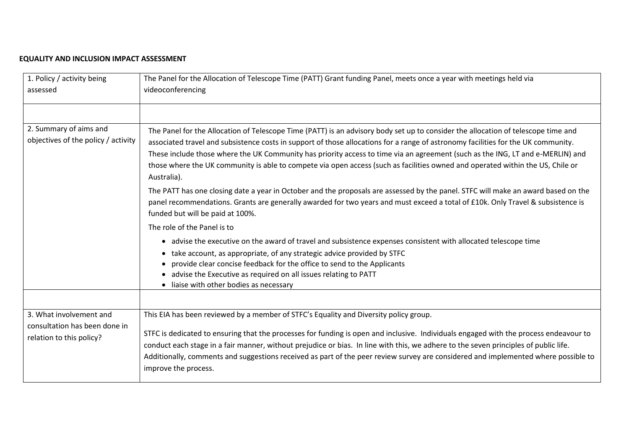## **EQUALITY AND INCLUSION IMPACT ASSESSMENT**

| 1. Policy / activity being<br>assessed                                               | The Panel for the Allocation of Telescope Time (PATT) Grant funding Panel, meets once a year with meetings held via<br>videoconferencing                                                                                                                                                                                                                                                                                                                                                                                                                  |
|--------------------------------------------------------------------------------------|-----------------------------------------------------------------------------------------------------------------------------------------------------------------------------------------------------------------------------------------------------------------------------------------------------------------------------------------------------------------------------------------------------------------------------------------------------------------------------------------------------------------------------------------------------------|
| 2. Summary of aims and<br>objectives of the policy / activity                        | The Panel for the Allocation of Telescope Time (PATT) is an advisory body set up to consider the allocation of telescope time and<br>associated travel and subsistence costs in support of those allocations for a range of astronomy facilities for the UK community.<br>These include those where the UK Community has priority access to time via an agreement (such as the ING, LT and e-MERLIN) and<br>those where the UK community is able to compete via open access (such as facilities owned and operated within the US, Chile or<br>Australia). |
|                                                                                      | The PATT has one closing date a year in October and the proposals are assessed by the panel. STFC will make an award based on the<br>panel recommendations. Grants are generally awarded for two years and must exceed a total of £10k. Only Travel & subsistence is<br>funded but will be paid at 100%.                                                                                                                                                                                                                                                  |
|                                                                                      | The role of the Panel is to<br>• advise the executive on the award of travel and subsistence expenses consistent with allocated telescope time<br>take account, as appropriate, of any strategic advice provided by STFC<br>provide clear concise feedback for the office to send to the Applicants<br>advise the Executive as required on all issues relating to PATT<br>• liaise with other bodies as necessary                                                                                                                                         |
| 3. What involvement and<br>consultation has been done in<br>relation to this policy? | This EIA has been reviewed by a member of STFC's Equality and Diversity policy group.<br>STFC is dedicated to ensuring that the processes for funding is open and inclusive. Individuals engaged with the process endeavour to<br>conduct each stage in a fair manner, without prejudice or bias. In line with this, we adhere to the seven principles of public life.<br>Additionally, comments and suggestions received as part of the peer review survey are considered and implemented where possible to<br>improve the process.                      |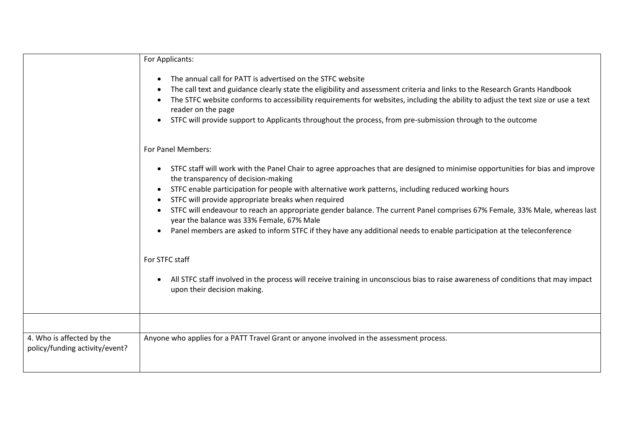|                                                             | For Applicants:<br>The annual call for PATT is advertised on the STFC website<br>$\bullet$<br>The call text and guidance clearly state the eligibility and assessment criteria and links to the Research Grants Handbook<br>The STFC website conforms to accessibility requirements for websites, including the ability to adjust the text size or use a text<br>reader on the page<br>STFC will provide support to Applicants throughout the process, from pre-submission through to the outcome                                                                                                                                                                  |  |  |  |
|-------------------------------------------------------------|--------------------------------------------------------------------------------------------------------------------------------------------------------------------------------------------------------------------------------------------------------------------------------------------------------------------------------------------------------------------------------------------------------------------------------------------------------------------------------------------------------------------------------------------------------------------------------------------------------------------------------------------------------------------|--|--|--|
|                                                             |                                                                                                                                                                                                                                                                                                                                                                                                                                                                                                                                                                                                                                                                    |  |  |  |
|                                                             | For Panel Members:                                                                                                                                                                                                                                                                                                                                                                                                                                                                                                                                                                                                                                                 |  |  |  |
|                                                             | STFC staff will work with the Panel Chair to agree approaches that are designed to minimise opportunities for bias and improve<br>$\bullet$<br>the transparency of decision-making<br>STFC enable participation for people with alternative work patterns, including reduced working hours<br>STFC will provide appropriate breaks when required<br>$\bullet$<br>STFC will endeavour to reach an appropriate gender balance. The current Panel comprises 67% Female, 33% Male, whereas last<br>year the balance was 33% Female, 67% Male<br>Panel members are asked to inform STFC if they have any additional needs to enable participation at the teleconference |  |  |  |
|                                                             | For STFC staff<br>All STFC staff involved in the process will receive training in unconscious bias to raise awareness of conditions that may impact<br>upon their decision making.                                                                                                                                                                                                                                                                                                                                                                                                                                                                                 |  |  |  |
|                                                             |                                                                                                                                                                                                                                                                                                                                                                                                                                                                                                                                                                                                                                                                    |  |  |  |
| 4. Who is affected by the<br>policy/funding activity/event? | Anyone who applies for a PATT Travel Grant or anyone involved in the assessment process.                                                                                                                                                                                                                                                                                                                                                                                                                                                                                                                                                                           |  |  |  |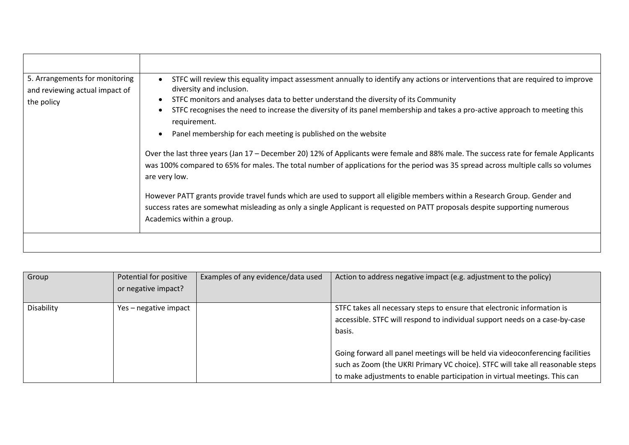| 5. Arrangements for monitoring<br>and reviewing actual impact of<br>the policy | STFC will review this equality impact assessment annually to identify any actions or interventions that are required to improve<br>diversity and inclusion.<br>STFC monitors and analyses data to better understand the diversity of its Community<br>STFC recognises the need to increase the diversity of its panel membership and takes a pro-active approach to meeting this<br>requirement.<br>Panel membership for each meeting is published on the website<br>Over the last three years (Jan 17 – December 20) 12% of Applicants were female and 88% male. The success rate for female Applicants<br>was 100% compared to 65% for males. The total number of applications for the period was 35 spread across multiple calls so volumes<br>are very low.<br>However PATT grants provide travel funds which are used to support all eligible members within a Research Group. Gender and<br>success rates are somewhat misleading as only a single Applicant is requested on PATT proposals despite supporting numerous<br>Academics within a group. |
|--------------------------------------------------------------------------------|------------------------------------------------------------------------------------------------------------------------------------------------------------------------------------------------------------------------------------------------------------------------------------------------------------------------------------------------------------------------------------------------------------------------------------------------------------------------------------------------------------------------------------------------------------------------------------------------------------------------------------------------------------------------------------------------------------------------------------------------------------------------------------------------------------------------------------------------------------------------------------------------------------------------------------------------------------------------------------------------------------------------------------------------------------|
|                                                                                |                                                                                                                                                                                                                                                                                                                                                                                                                                                                                                                                                                                                                                                                                                                                                                                                                                                                                                                                                                                                                                                            |

| Group      | Potential for positive | Examples of any evidence/data used | Action to address negative impact (e.g. adjustment to the policy)              |
|------------|------------------------|------------------------------------|--------------------------------------------------------------------------------|
|            | or negative impact?    |                                    |                                                                                |
|            |                        |                                    |                                                                                |
| Disability | Yes – negative impact  |                                    | STFC takes all necessary steps to ensure that electronic information is        |
|            |                        |                                    | accessible. STFC will respond to individual support needs on a case-by-case    |
|            |                        |                                    | basis.                                                                         |
|            |                        |                                    |                                                                                |
|            |                        |                                    | Going forward all panel meetings will be held via videoconferencing facilities |
|            |                        |                                    | such as Zoom (the UKRI Primary VC choice). STFC will take all reasonable steps |
|            |                        |                                    | to make adjustments to enable participation in virtual meetings. This can      |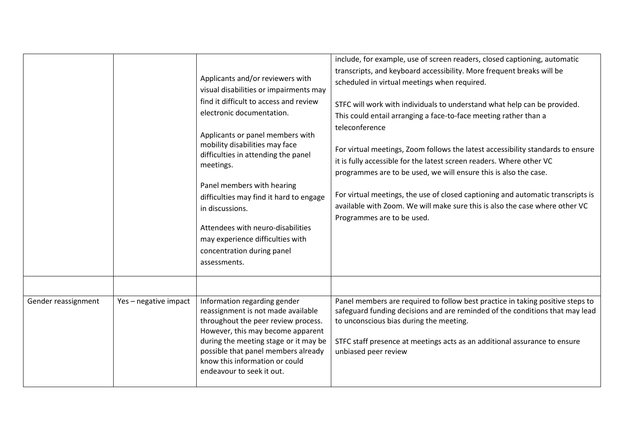|                     |                       | Applicants and/or reviewers with<br>visual disabilities or impairments may<br>find it difficult to access and review<br>electronic documentation.<br>Applicants or panel members with<br>mobility disabilities may face<br>difficulties in attending the panel<br>meetings.<br>Panel members with hearing<br>difficulties may find it hard to engage<br>in discussions.<br>Attendees with neuro-disabilities<br>may experience difficulties with<br>concentration during panel<br>assessments. | include, for example, use of screen readers, closed captioning, automatic<br>transcripts, and keyboard accessibility. More frequent breaks will be<br>scheduled in virtual meetings when required.<br>STFC will work with individuals to understand what help can be provided.<br>This could entail arranging a face-to-face meeting rather than a<br>teleconference<br>For virtual meetings, Zoom follows the latest accessibility standards to ensure<br>it is fully accessible for the latest screen readers. Where other VC<br>programmes are to be used, we will ensure this is also the case.<br>For virtual meetings, the use of closed captioning and automatic transcripts is<br>available with Zoom. We will make sure this is also the case where other VC<br>Programmes are to be used. |
|---------------------|-----------------------|------------------------------------------------------------------------------------------------------------------------------------------------------------------------------------------------------------------------------------------------------------------------------------------------------------------------------------------------------------------------------------------------------------------------------------------------------------------------------------------------|-----------------------------------------------------------------------------------------------------------------------------------------------------------------------------------------------------------------------------------------------------------------------------------------------------------------------------------------------------------------------------------------------------------------------------------------------------------------------------------------------------------------------------------------------------------------------------------------------------------------------------------------------------------------------------------------------------------------------------------------------------------------------------------------------------|
| Gender reassignment | Yes - negative impact | Information regarding gender<br>reassignment is not made available<br>throughout the peer review process.<br>However, this may become apparent<br>during the meeting stage or it may be<br>possible that panel members already<br>know this information or could<br>endeavour to seek it out.                                                                                                                                                                                                  | Panel members are required to follow best practice in taking positive steps to<br>safeguard funding decisions and are reminded of the conditions that may lead<br>to unconscious bias during the meeting.<br>STFC staff presence at meetings acts as an additional assurance to ensure<br>unbiased peer review                                                                                                                                                                                                                                                                                                                                                                                                                                                                                      |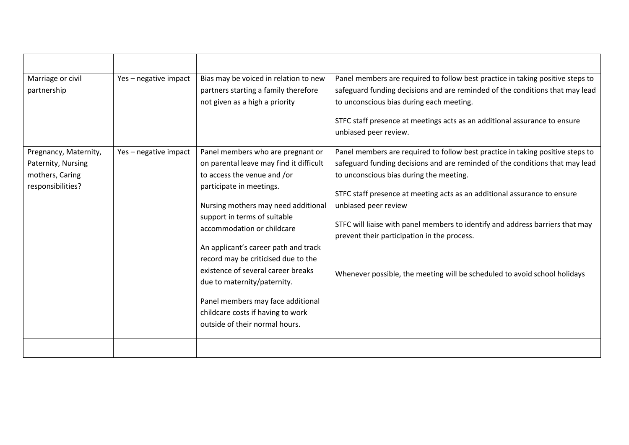| Marriage or civil<br>partnership                                                    | Yes - negative impact | Bias may be voiced in relation to new<br>partners starting a family therefore<br>not given as a high a priority                                                                                                                                                                                                                                                                                                                                                                                              | Panel members are required to follow best practice in taking positive steps to<br>safeguard funding decisions and are reminded of the conditions that may lead<br>to unconscious bias during each meeting.<br>STFC staff presence at meetings acts as an additional assurance to ensure<br>unbiased peer review.                                                                                                                                                                                                           |
|-------------------------------------------------------------------------------------|-----------------------|--------------------------------------------------------------------------------------------------------------------------------------------------------------------------------------------------------------------------------------------------------------------------------------------------------------------------------------------------------------------------------------------------------------------------------------------------------------------------------------------------------------|----------------------------------------------------------------------------------------------------------------------------------------------------------------------------------------------------------------------------------------------------------------------------------------------------------------------------------------------------------------------------------------------------------------------------------------------------------------------------------------------------------------------------|
| Pregnancy, Maternity,<br>Paternity, Nursing<br>mothers, Caring<br>responsibilities? | Yes - negative impact | Panel members who are pregnant or<br>on parental leave may find it difficult<br>to access the venue and /or<br>participate in meetings.<br>Nursing mothers may need additional<br>support in terms of suitable<br>accommodation or childcare<br>An applicant's career path and track<br>record may be criticised due to the<br>existence of several career breaks<br>due to maternity/paternity.<br>Panel members may face additional<br>childcare costs if having to work<br>outside of their normal hours. | Panel members are required to follow best practice in taking positive steps to<br>safeguard funding decisions and are reminded of the conditions that may lead<br>to unconscious bias during the meeting.<br>STFC staff presence at meeting acts as an additional assurance to ensure<br>unbiased peer review<br>STFC will liaise with panel members to identify and address barriers that may<br>prevent their participation in the process.<br>Whenever possible, the meeting will be scheduled to avoid school holidays |
|                                                                                     |                       |                                                                                                                                                                                                                                                                                                                                                                                                                                                                                                              |                                                                                                                                                                                                                                                                                                                                                                                                                                                                                                                            |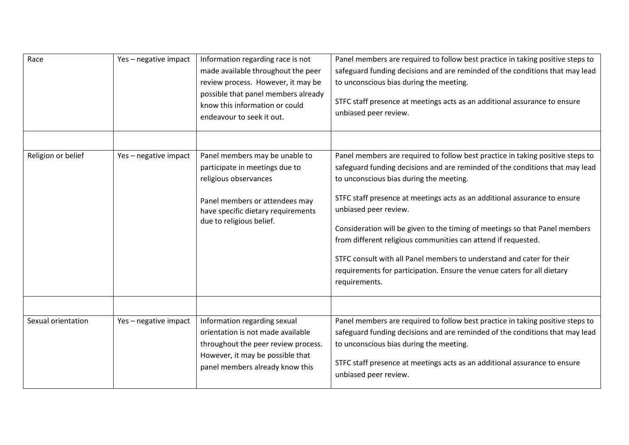| Race               | Yes - negative impact | Information regarding race is not<br>made available throughout the peer<br>review process. However, it may be<br>possible that panel members already<br>know this information or could<br>endeavour to seek it out. | Panel members are required to follow best practice in taking positive steps to<br>safeguard funding decisions and are reminded of the conditions that may lead<br>to unconscious bias during the meeting.<br>STFC staff presence at meetings acts as an additional assurance to ensure<br>unbiased peer review.                                                                                                                                                                                                                                                                                                                      |
|--------------------|-----------------------|---------------------------------------------------------------------------------------------------------------------------------------------------------------------------------------------------------------------|--------------------------------------------------------------------------------------------------------------------------------------------------------------------------------------------------------------------------------------------------------------------------------------------------------------------------------------------------------------------------------------------------------------------------------------------------------------------------------------------------------------------------------------------------------------------------------------------------------------------------------------|
| Religion or belief | Yes - negative impact | Panel members may be unable to<br>participate in meetings due to<br>religious observances<br>Panel members or attendees may<br>have specific dietary requirements<br>due to religious belief.                       | Panel members are required to follow best practice in taking positive steps to<br>safeguard funding decisions and are reminded of the conditions that may lead<br>to unconscious bias during the meeting.<br>STFC staff presence at meetings acts as an additional assurance to ensure<br>unbiased peer review.<br>Consideration will be given to the timing of meetings so that Panel members<br>from different religious communities can attend if requested.<br>STFC consult with all Panel members to understand and cater for their<br>requirements for participation. Ensure the venue caters for all dietary<br>requirements. |
| Sexual orientation | Yes - negative impact | Information regarding sexual<br>orientation is not made available<br>throughout the peer review process.<br>However, it may be possible that<br>panel members already know this                                     | Panel members are required to follow best practice in taking positive steps to<br>safeguard funding decisions and are reminded of the conditions that may lead<br>to unconscious bias during the meeting.<br>STFC staff presence at meetings acts as an additional assurance to ensure<br>unbiased peer review.                                                                                                                                                                                                                                                                                                                      |